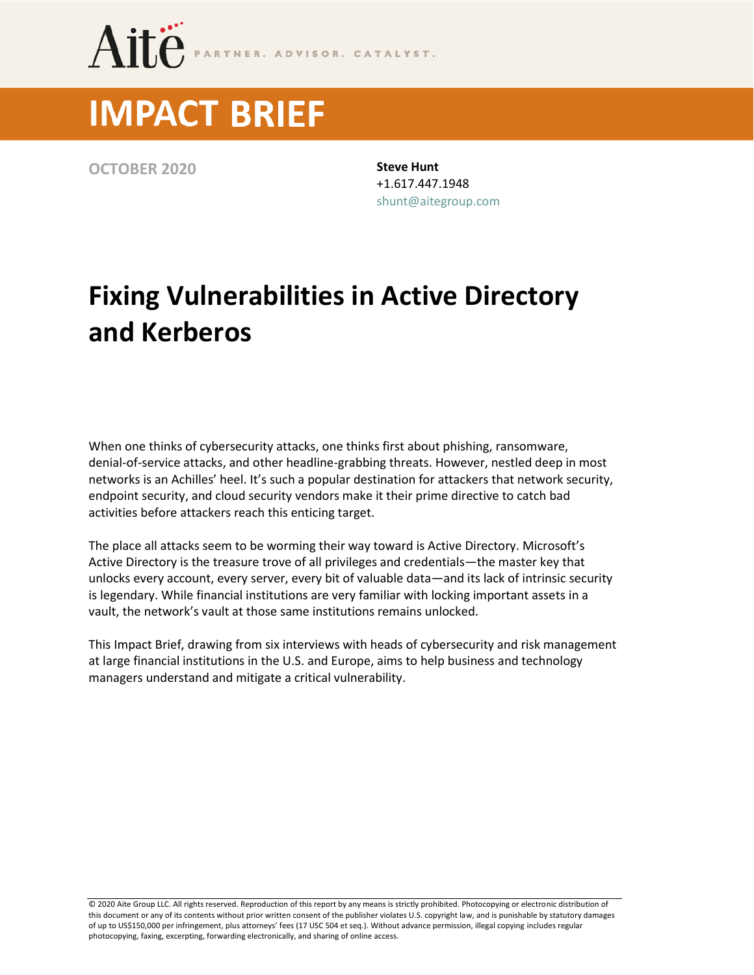

# **IMPACT BRIEF**

**OCTOBER 2020 Steve Hunt**

+1.617.447.1948 [shunt@aitegroup.com](mailto:shunt@aitegroup.com)

## **Fixing Vulnerabilities in Active Directory and Kerberos**

When one thinks of cybersecurity attacks, one thinks first about phishing, ransomware, denial-of-service attacks, and other headline-grabbing threats. However, nestled deep in most networks is an Achilles' heel. It's such a popular destination for attackers that network security, endpoint security, and cloud security vendors make it their prime directive to catch bad activities before attackers reach this enticing target.

The place all attacks seem to be worming their way toward is Active Directory. Microsoft's Active Directory is the treasure trove of all privileges and credentials—the master key that unlocks every account, every server, every bit of valuable data—and its lack of intrinsic security is legendary. While financial institutions are very familiar with locking important assets in a vault, the network's vault at those same institutions remains unlocked.

This Impact Brief, drawing from six interviews with heads of cybersecurity and risk management at large financial institutions in the U.S. and Europe, aims to help business and technology managers understand and mitigate a critical vulnerability.

© 2020 Aite Group LLC. All rights reserved. Reproduction of this report by any means is strictly prohibited. Photocopying or electronic distribution of this document or any of its contents without prior written consent of the publisher violates U.S. copyright law, and is punishable by statutory damages of up to US\$150,000 per infringement, plus attorneys' fees (17 USC 504 et seq.). Without advance permission, illegal copying includes regular photocopying, faxing, excerpting, forwarding electronically, and sharing of online access.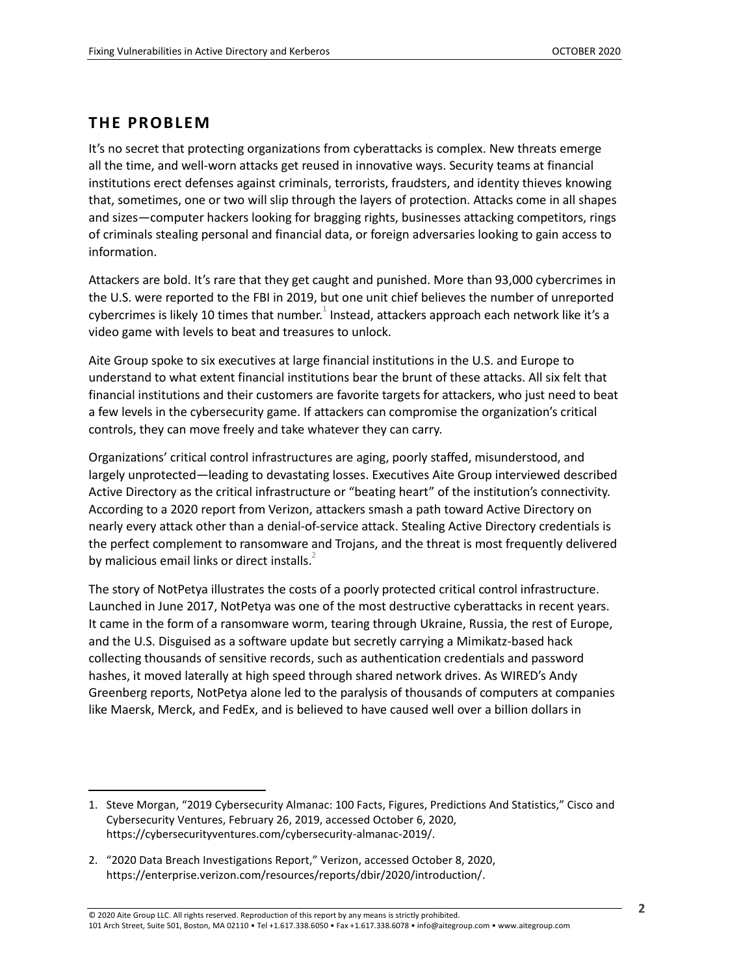#### **THE PROBLEM**

It's no secret that protecting organizations from cyberattacks is complex. New threats emerge all the time, and well-worn attacks get reused in innovative ways. Security teams at financial institutions erect defenses against criminals, terrorists, fraudsters, and identity thieves knowing that, sometimes, one or two will slip through the layers of protection. Attacks come in all shapes and sizes—computer hackers looking for bragging rights, businesses attacking competitors, rings of criminals stealing personal and financial data, or foreign adversaries looking to gain access to information.

Attackers are bold. It's rare that they get caught and punished. More than 93,000 cybercrimes in the U.S. were reported to the FBI in 2019, but one unit chief believes the number of unreported cybercrimes is likely 10 times that number. $^1$  Instead, attackers approach each network like it's a video game with levels to beat and treasures to unlock.

Aite Group spoke to six executives at large financial institutions in the U.S. and Europe to understand to what extent financial institutions bear the brunt of these attacks. All six felt that financial institutions and their customers are favorite targets for attackers, who just need to beat a few levels in the cybersecurity game. If attackers can compromise the organization's critical controls, they can move freely and take whatever they can carry.

Organizations' critical control infrastructures are aging, poorly staffed, misunderstood, and largely unprotected—leading to devastating losses. Executives Aite Group interviewed described Active Directory as the critical infrastructure or "beating heart" of the institution's connectivity. According to a 2020 report from Verizon, attackers smash a path toward Active Directory on nearly every attack other than a denial-of-service attack. Stealing Active Directory credentials is the perfect complement to ransomware and Trojans, and the threat is most frequently delivered by malicious email links or direct installs. $<sup>2</sup>$ </sup>

The story of NotPetya illustrates the costs of a poorly protected critical control infrastructure. Launched in June 2017, NotPetya was one of the most destructive cyberattacks in recent years. It came in the form of a ransomware worm, tearing through Ukraine, Russia, the rest of Europe, and the U.S. Disguised as a software update but secretly carrying a Mimikatz-based hack collecting thousands of sensitive records, such as authentication credentials and password hashes, it moved laterally at high speed through shared network drives. As WIRED's Andy Greenberg reports, NotPetya alone led to the paralysis of thousands of computers at companies like Maersk, Merck, and FedEx, and is believed to have caused well over a billion dollars in

<sup>1.</sup> Steve Morgan, "2019 Cybersecurity Almanac: 100 Facts, Figures, Predictions And Statistics," Cisco and Cybersecurity Ventures, February 26, 2019, accessed October 6, 2020, https://cybersecurityventures.com/cybersecurity-almanac-2019/.

<sup>2.</sup> "2020 Data Breach Investigations Report," Verizon, accessed October 8, 2020, https://enterprise.verizon.com/resources/reports/dbir/2020/introduction/.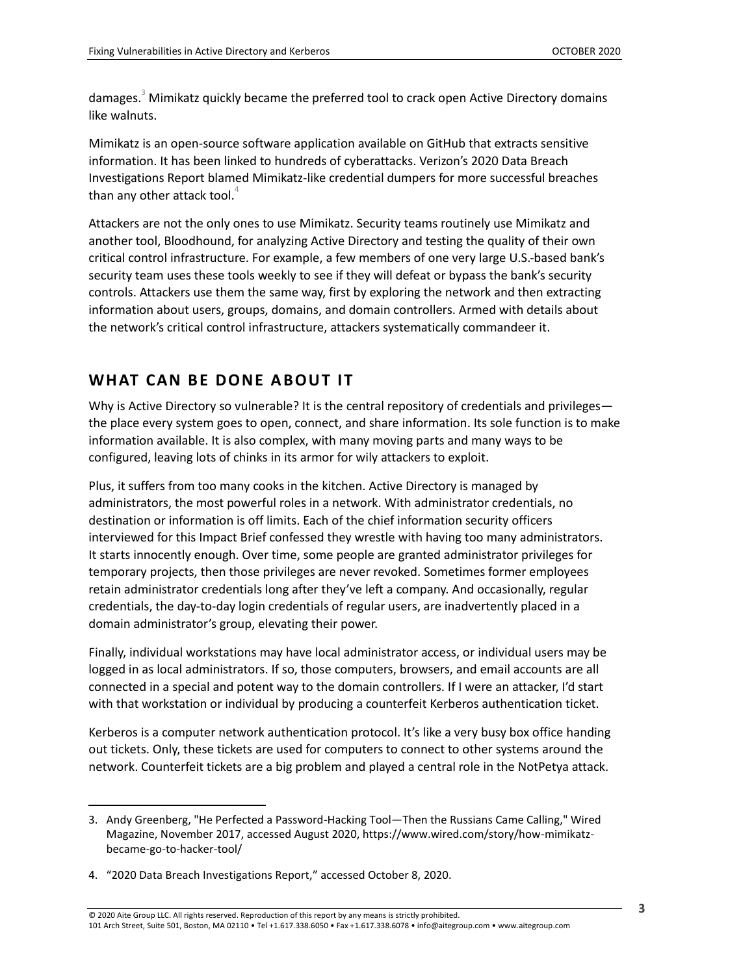damages.<sup>3</sup> Mimikatz quickly became the preferred tool to crack open Active Directory domains like walnuts.

Mimikatz is an open-source software application available on GitHub that extracts sensitive information. It has been linked to hundreds of cyberattacks. Verizon's 2020 Data Breach Investigations Report blamed Mimikatz-like credential dumpers for more successful breaches than any other attack tool.<sup>4</sup>

Attackers are not the only ones to use Mimikatz. Security teams routinely use Mimikatz and another tool, Bloodhound, for analyzing Active Directory and testing the quality of their own critical control infrastructure. For example, a few members of one very large U.S.-based bank's security team uses these tools weekly to see if they will defeat or bypass the bank's security controls. Attackers use them the same way, first by exploring the network and then extracting information about users, groups, domains, and domain controllers. Armed with details about the network's critical control infrastructure, attackers systematically commandeer it.

#### **WHAT CAN BE DONE ABOUT IT**

Why is Active Directory so vulnerable? It is the central repository of credentials and privileges the place every system goes to open, connect, and share information. Its sole function is to make information available. It is also complex, with many moving parts and many ways to be configured, leaving lots of chinks in its armor for wily attackers to exploit.

Plus, it suffers from too many cooks in the kitchen. Active Directory is managed by administrators, the most powerful roles in a network. With administrator credentials, no destination or information is off limits. Each of the chief information security officers interviewed for this Impact Brief confessed they wrestle with having too many administrators. It starts innocently enough. Over time, some people are granted administrator privileges for temporary projects, then those privileges are never revoked. Sometimes former employees retain administrator credentials long after they've left a company. And occasionally, regular credentials, the day-to-day login credentials of regular users, are inadvertently placed in a domain administrator's group, elevating their power.

Finally, individual workstations may have local administrator access, or individual users may be logged in as local administrators. If so, those computers, browsers, and email accounts are all connected in a special and potent way to the domain controllers. If I were an attacker, I'd start with that workstation or individual by producing a counterfeit Kerberos authentication ticket.

Kerberos is a computer network authentication protocol. It's like a very busy box office handing out tickets. Only, these tickets are used for computers to connect to other systems around the network. Counterfeit tickets are a big problem and played a central role in the NotPetya attack.

<sup>3.</sup> Andy Greenberg, "He Perfected a Password-Hacking Tool—Then the Russians Came Calling," Wired Magazine, November 2017, accessed August 2020, https://www.wired.com/story/how-mimikatzbecame-go-to-hacker-tool/

<sup>4.</sup> "2020 Data Breach Investigations Report," accessed October 8, 2020.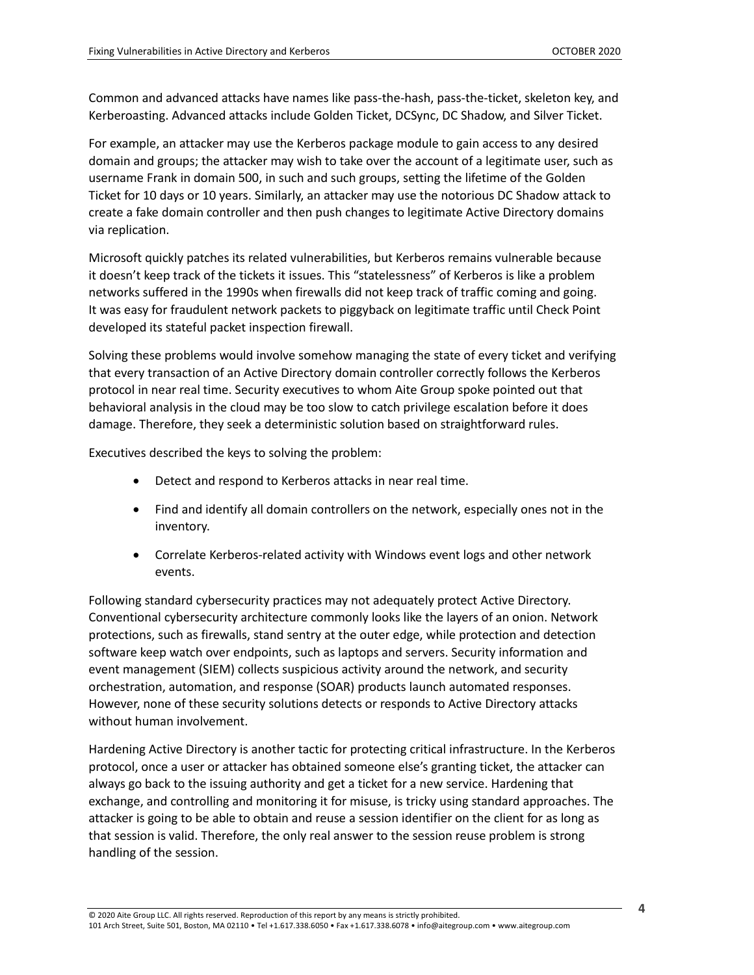Common and advanced attacks have names like pass-the-hash, pass-the-ticket, skeleton key, and Kerberoasting. Advanced attacks include Golden Ticket, DCSync, DC Shadow, and Silver Ticket.

For example, an attacker may use the Kerberos package module to gain access to any desired domain and groups; the attacker may wish to take over the account of a legitimate user, such as username Frank in domain 500, in such and such groups, setting the lifetime of the Golden Ticket for 10 days or 10 years. Similarly, an attacker may use the notorious DC Shadow attack to create a fake domain controller and then push changes to legitimate Active Directory domains via replication.

Microsoft quickly patches its related vulnerabilities, but Kerberos remains vulnerable because it doesn't keep track of the tickets it issues. This "statelessness" of Kerberos is like a problem networks suffered in the 1990s when firewalls did not keep track of traffic coming and going. It was easy for fraudulent network packets to piggyback on legitimate traffic until Check Point developed its stateful packet inspection firewall.

Solving these problems would involve somehow managing the state of every ticket and verifying that every transaction of an Active Directory domain controller correctly follows the Kerberos protocol in near real time. Security executives to whom Aite Group spoke pointed out that behavioral analysis in the cloud may be too slow to catch privilege escalation before it does damage. Therefore, they seek a deterministic solution based on straightforward rules.

Executives described the keys to solving the problem:

- Detect and respond to Kerberos attacks in near real time.
- Find and identify all domain controllers on the network, especially ones not in the inventory.
- Correlate Kerberos-related activity with Windows event logs and other network events.

Following standard cybersecurity practices may not adequately protect Active Directory. Conventional cybersecurity architecture commonly looks like the layers of an onion. Network protections, such as firewalls, stand sentry at the outer edge, while protection and detection software keep watch over endpoints, such as laptops and servers. Security information and event management (SIEM) collects suspicious activity around the network, and security orchestration, automation, and response (SOAR) products launch automated responses. However, none of these security solutions detects or responds to Active Directory attacks without human involvement.

Hardening Active Directory is another tactic for protecting critical infrastructure. In the Kerberos protocol, once a user or attacker has obtained someone else's granting ticket, the attacker can always go back to the issuing authority and get a ticket for a new service. Hardening that exchange, and controlling and monitoring it for misuse, is tricky using standard approaches. The attacker is going to be able to obtain and reuse a session identifier on the client for as long as that session is valid. Therefore, the only real answer to the session reuse problem is strong handling of the session.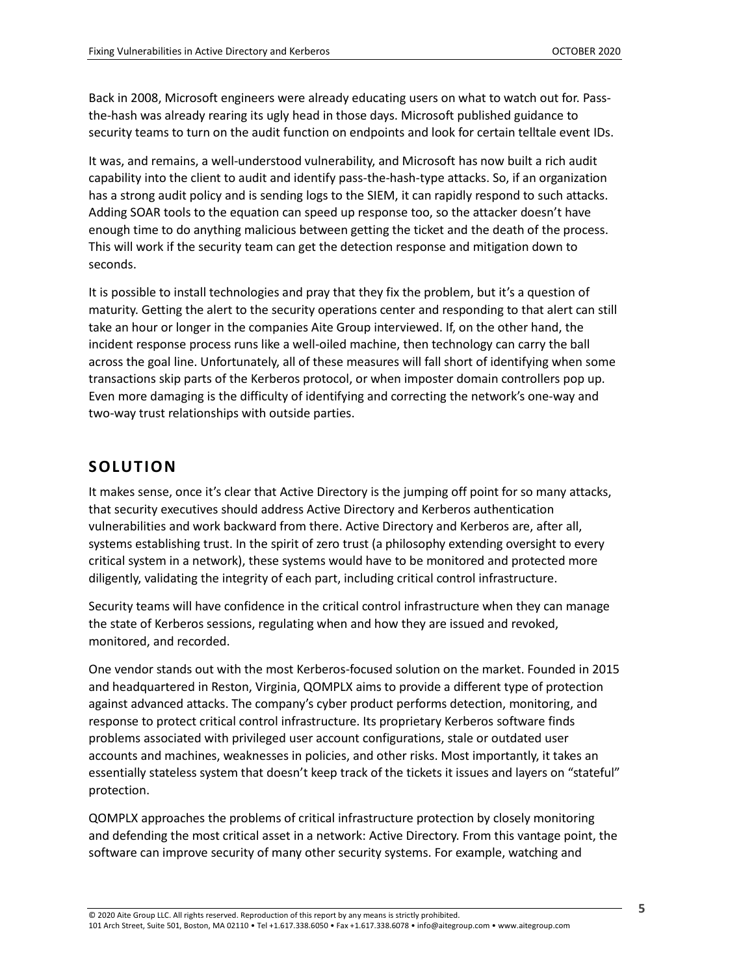Back in 2008, Microsoft engineers were already educating users on what to watch out for. Passthe-hash was already rearing its ugly head in those days. Microsoft published guidance to security teams to turn on the audit function on endpoints and look for certain telltale event IDs.

It was, and remains, a well-understood vulnerability, and Microsoft has now built a rich audit capability into the client to audit and identify pass-the-hash-type attacks. So, if an organization has a strong audit policy and is sending logs to the SIEM, it can rapidly respond to such attacks. Adding SOAR tools to the equation can speed up response too, so the attacker doesn't have enough time to do anything malicious between getting the ticket and the death of the process. This will work if the security team can get the detection response and mitigation down to seconds.

It is possible to install technologies and pray that they fix the problem, but it's a question of maturity. Getting the alert to the security operations center and responding to that alert can still take an hour or longer in the companies Aite Group interviewed. If, on the other hand, the incident response process runs like a well-oiled machine, then technology can carry the ball across the goal line. Unfortunately, all of these measures will fall short of identifying when some transactions skip parts of the Kerberos protocol, or when imposter domain controllers pop up. Even more damaging is the difficulty of identifying and correcting the network's one-way and two-way trust relationships with outside parties.

#### **SOLUTION**

It makes sense, once it's clear that Active Directory is the jumping off point for so many attacks, that security executives should address Active Directory and Kerberos authentication vulnerabilities and work backward from there. Active Directory and Kerberos are, after all, systems establishing trust. In the spirit of zero trust (a philosophy extending oversight to every critical system in a network), these systems would have to be monitored and protected more diligently, validating the integrity of each part, including critical control infrastructure.

Security teams will have confidence in the critical control infrastructure when they can manage the state of Kerberos sessions, regulating when and how they are issued and revoked, monitored, and recorded.

One vendor stands out with the most Kerberos-focused solution on the market. Founded in 2015 and headquartered in Reston, Virginia, QOMPLX aims to provide a different type of protection against advanced attacks. The company's cyber product performs detection, monitoring, and response to protect critical control infrastructure. Its proprietary Kerberos software finds problems associated with privileged user account configurations, stale or outdated user accounts and machines, weaknesses in policies, and other risks. Most importantly, it takes an essentially stateless system that doesn't keep track of the tickets it issues and layers on "stateful" protection.

QOMPLX approaches the problems of critical infrastructure protection by closely monitoring and defending the most critical asset in a network: Active Directory. From this vantage point, the software can improve security of many other security systems. For example, watching and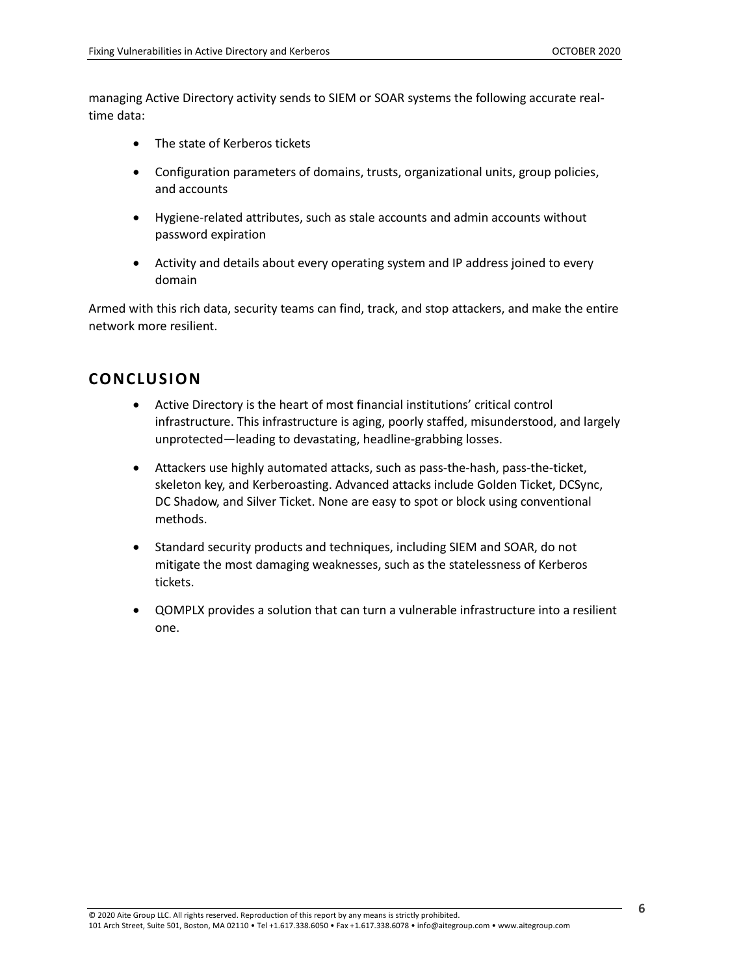managing Active Directory activity sends to SIEM or SOAR systems the following accurate realtime data:

- The state of Kerberos tickets
- Configuration parameters of domains, trusts, organizational units, group policies, and accounts
- Hygiene-related attributes, such as stale accounts and admin accounts without password expiration
- Activity and details about every operating system and IP address joined to every domain

Armed with this rich data, security teams can find, track, and stop attackers, and make the entire network more resilient.

#### **CONCLUSION**

- Active Directory is the heart of most financial institutions' critical control infrastructure. This infrastructure is aging, poorly staffed, misunderstood, and largely unprotected—leading to devastating, headline-grabbing losses.
- Attackers use highly automated attacks, such as pass-the-hash, pass-the-ticket, skeleton key, and Kerberoasting. Advanced attacks include Golden Ticket, DCSync, DC Shadow, and Silver Ticket. None are easy to spot or block using conventional methods.
- Standard security products and techniques, including SIEM and SOAR, do not mitigate the most damaging weaknesses, such as the statelessness of Kerberos tickets.
- QOMPLX provides a solution that can turn a vulnerable infrastructure into a resilient one.